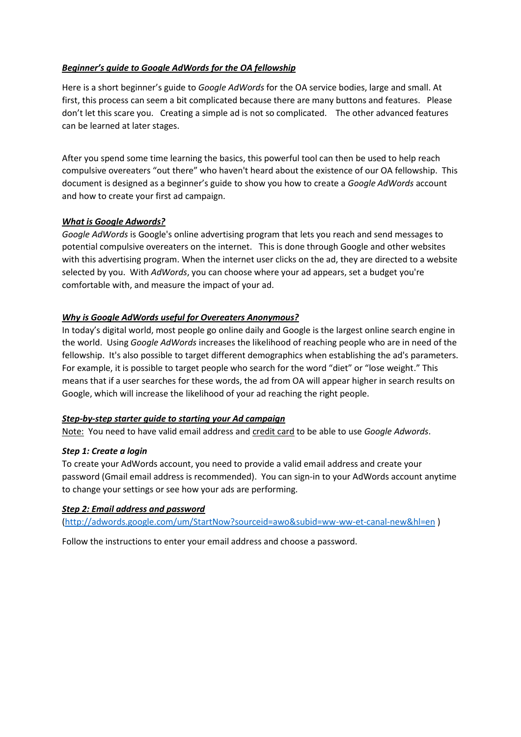## *Beginner's guide to Google AdWords for the OA fellowship*

Here is a short beginner's guide to *Google AdWords* for the OA service bodies, large and small. At first, this process can seem a bit complicated because there are many buttons and features. Please don't let this scare you. Creating a simple ad is not so complicated. The other advanced features can be learned at later stages.

After you spend some time learning the basics, this powerful tool can then be used to help reach compulsive overeaters "out there" who haven't heard about the existence of our OA fellowship. This document is designed as a beginner's guide to show you how to create a *Google AdWords* account and how to create your first ad campaign.

## *What is Google Adwords?*

*Google AdWords* is Google's online advertising program that lets you reach and send messages to potential compulsive overeaters on the internet. This is done through Google and other websites with this advertising program. When the internet user clicks on the ad, they are directed to a website selected by you. With *AdWords*, you can choose where your ad appears, set a budget you're comfortable with, and measure the impact of your ad.

## *Why is Google AdWords useful for Overeaters Anonymous?*

In today's digital world, most people go online daily and Google is the largest online search engine in the world. Using *Google AdWords* increases the likelihood of reaching people who are in need of the fellowship. It's also possible to target different demographics when establishing the ad's parameters. For example, it is possible to target people who search for the word "diet" or "lose weight." This means that if a user searches for these words, the ad from OA will appear higher in search results on Google, which will increase the likelihood of your ad reaching the right people.

## *Step-by-step starter guide to starting your Ad campaign*

Note: You need to have valid email address and credit card to be able to use *Google Adwords*.

## *Step 1: Create a login*

To create your AdWords account, you need to provide a valid email address and create your password (Gmail email address is recommended). You can sign-in to your AdWords account anytime to change your settings or see how your ads are performing.

## *Step 2: Email address and password*

[\(http://adwords.google.com/um/StartNow?sourceid=awo&subid=ww-ww-et-canal-new&hl=en](http://adwords.google.com/um/StartNow?sourceid=awo&subid=ww-ww-et-canal-new&hl=en) )

Follow the instructions to enter your email address and choose a password.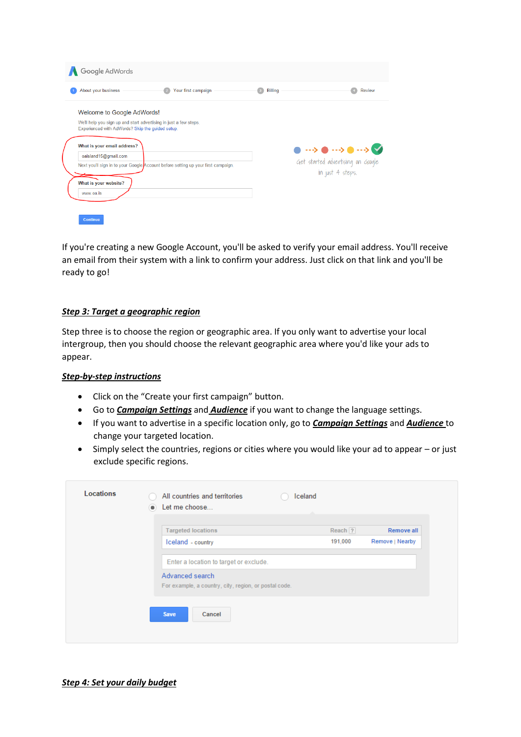| About your business                                               | Your first campaign                                                               | <b>Billing</b> | Review                                                                            |
|-------------------------------------------------------------------|-----------------------------------------------------------------------------------|----------------|-----------------------------------------------------------------------------------|
| Welcome to Google AdWords!                                        |                                                                                   |                |                                                                                   |
| We'll help you sign up and start advertising in just a few steps. |                                                                                   |                |                                                                                   |
| Experienced with AdWords? Skip the guided setup.                  |                                                                                   |                |                                                                                   |
| What is your email address?                                       |                                                                                   |                |                                                                                   |
| oaisland15@gmail.com                                              |                                                                                   |                | $\bullet \longrightarrow \bullet \longrightarrow \bullet \longrightarrow \bullet$ |
|                                                                   | Next you'll sign in to your Google Account before setting up your first campaign. |                | Get started advertising on Google                                                 |
|                                                                   |                                                                                   |                | in just 4 steps.                                                                  |
| What is your website?                                             |                                                                                   |                |                                                                                   |
|                                                                   |                                                                                   |                |                                                                                   |

If you're creating a new Google Account, you'll be asked to verify your email address. You'll receive an email from their system with a link to confirm your address. Just click on that link and you'll be ready to go!

### *Step 3: Target a geographic region*

Step three is to choose the region or geographic area. If you only want to advertise your local intergroup, then you should choose the relevant geographic area where you'd like your ads to appear.

### *Step-by-step instructions*

- Click on the "Create your first campaign" button.
- Go to *Campaign Settings* and *Audience* if you want to change the language settings.
- If you want to advertise in a specific location only, go to *Campaign Settings* and *Audience* to change your targeted location.
- Simply select the countries, regions or cities where you would like your ad to appear or just exclude specific regions.

| <b>Targeted locations</b>                                                | Reach $ 2 $ | Remove all      |
|--------------------------------------------------------------------------|-------------|-----------------|
| Iceland - country                                                        | 191,000     | Remove   Nearby |
| Enter a location to target or exclude.                                   |             |                 |
| Advanced search<br>For example, a country, city, region, or postal code. |             |                 |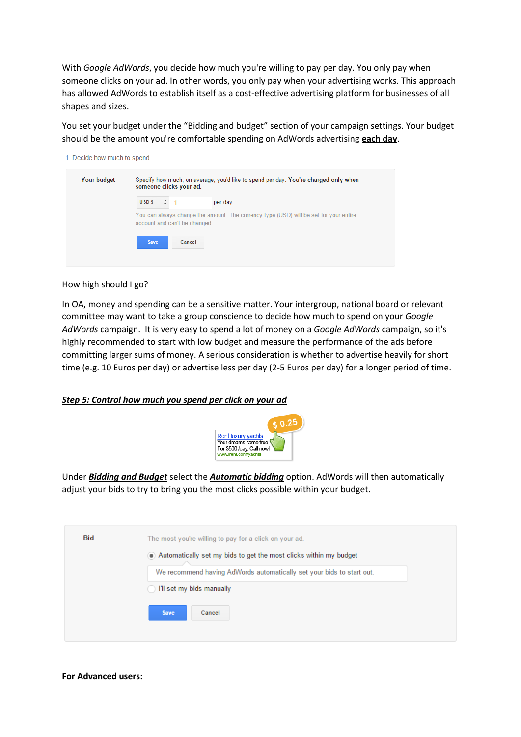With *Google AdWords*, you decide how much you're willing to pay per day. You only pay when someone clicks on your ad. In other words, you only pay when your advertising works. This approach has allowed AdWords to establish itself as a cost-effective advertising platform for businesses of all shapes and sizes.

You set your budget under the "Bidding and budget" section of your campaign settings. Your budget should be the amount you're comfortable spending on AdWords advertising **each day**.

| <b>Your budget</b> |             |   | someone clicks your ad.       | Specify how much, on average, you'd like to spend per day. You're charged only when   |
|--------------------|-------------|---|-------------------------------|---------------------------------------------------------------------------------------|
|                    | <b>USDS</b> | ÷ |                               | per day                                                                               |
|                    |             |   | account and can't be changed. | You can always change the amount. The currency type (USD) will be set for your entire |
|                    | Save        |   | Cancel                        |                                                                                       |

#### How high should I go?

In OA, money and spending can be a sensitive matter. Your intergroup, national board or relevant committee may want to take a group conscience to decide how much to spend on your *Google AdWords* campaign. It is very easy to spend a lot of money on a *Google AdWords* campaign, so it's highly recommended to start with low budget and measure the performance of the ads before committing larger sums of money. A serious consideration is whether to advertise heavily for short time (e.g. 10 Euros per day) or advertise less per day (2-5 Euros per day) for a longer period of time.

### *Step 5: Control how much you spend per click on your ad*



Under *Bidding and Budget* select the *Automatic bidding* option. AdWords will then automatically adjust your bids to try to bring you the most clicks possible within your budget.

| <b>Bid</b> | The most you're willing to pay for a click on your ad.                |
|------------|-----------------------------------------------------------------------|
|            | Automatically set my bids to get the most clicks within my budget     |
|            | We recommend having AdWords automatically set your bids to start out. |
|            | I'll set my bids manually                                             |
|            | <b>Save</b><br>Cancel                                                 |
|            |                                                                       |

#### **For Advanced users:**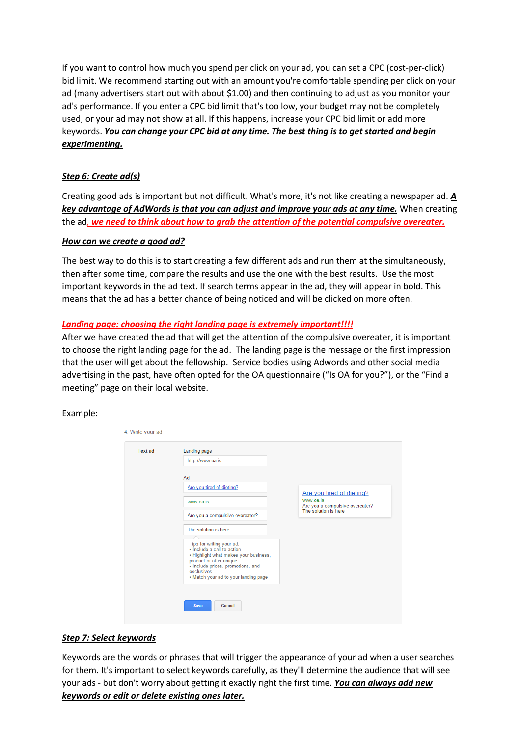If you want to control how much you spend per click on your ad, you can set a CPC (cost-per-click) bid limit. We recommend starting out with an amount you're comfortable spending per click on your ad (many advertisers start out with about \$1.00) and then continuing to adjust as you monitor your ad's performance. If you enter a CPC bid limit that's too low, your budget may not be completely used, or your ad may not show at all. If this happens, increase your CPC bid limit or add more keywords. *You can change your CPC bid at any time. The best thing is to get started and begin experimenting.*

## *Step 6: Create ad(s)*

Creating good ads is important but not difficult. What's more, it's not like creating a newspaper ad. *A key advantage of AdWords is that you can adjust and improve your ads at any time.* When creating the ad*, we need to think about how to grab the attention of the potential compulsive overeater.* 

### *How can we create a good ad?*

The best way to do this is to start creating a few different ads and run them at the simultaneously, then after some time, compare the results and use the one with the best results. Use the most important keywords in the ad text. If search terms appear in the ad, they will appear in bold. This means that the ad has a better chance of being noticed and will be clicked on more often.

## *Landing page: choosing the right landing page is extremely important!!!!*

After we have created the ad that will get the attention of the compulsive overeater, it is important to choose the right landing page for the ad. The landing page is the message or the first impression that the user will get about the fellowship. Service bodies using Adwords and other social media advertising in the past, have often opted for the OA questionnaire ("Is OA for you?"), or the "Find a meeting" page on their local website.

### Example:

| <b>Text ad</b> | Landing page                                                                                                                                                                                                           |                                              |
|----------------|------------------------------------------------------------------------------------------------------------------------------------------------------------------------------------------------------------------------|----------------------------------------------|
|                | http://www.oa.is                                                                                                                                                                                                       |                                              |
|                | Ad                                                                                                                                                                                                                     |                                              |
|                | Are you tired of dieting?                                                                                                                                                                                              | Are you tired of dieting?                    |
|                | www.oa.is                                                                                                                                                                                                              | www.oa.is<br>Are you a compulsive overeater? |
|                | Are you a compulsive overeater?                                                                                                                                                                                        | The solution is here                         |
|                | The solution is here                                                                                                                                                                                                   |                                              |
|                |                                                                                                                                                                                                                        |                                              |
|                | Tips for writing your ad:<br>· Include a call to action<br>• Highlight what makes your business,<br>product or offer unique<br>· Include prices, promotions, and<br>exclusives<br>• Match your ad to your landing page |                                              |

## *Step 7: Select keywords*

Keywords are the words or phrases that will trigger the appearance of your ad when a user searches for them. It's important to select keywords carefully, as they'll determine the audience that will see your ads - but don't worry about getting it exactly right the first time. *You can always add new keywords or edit or delete existing ones later.*